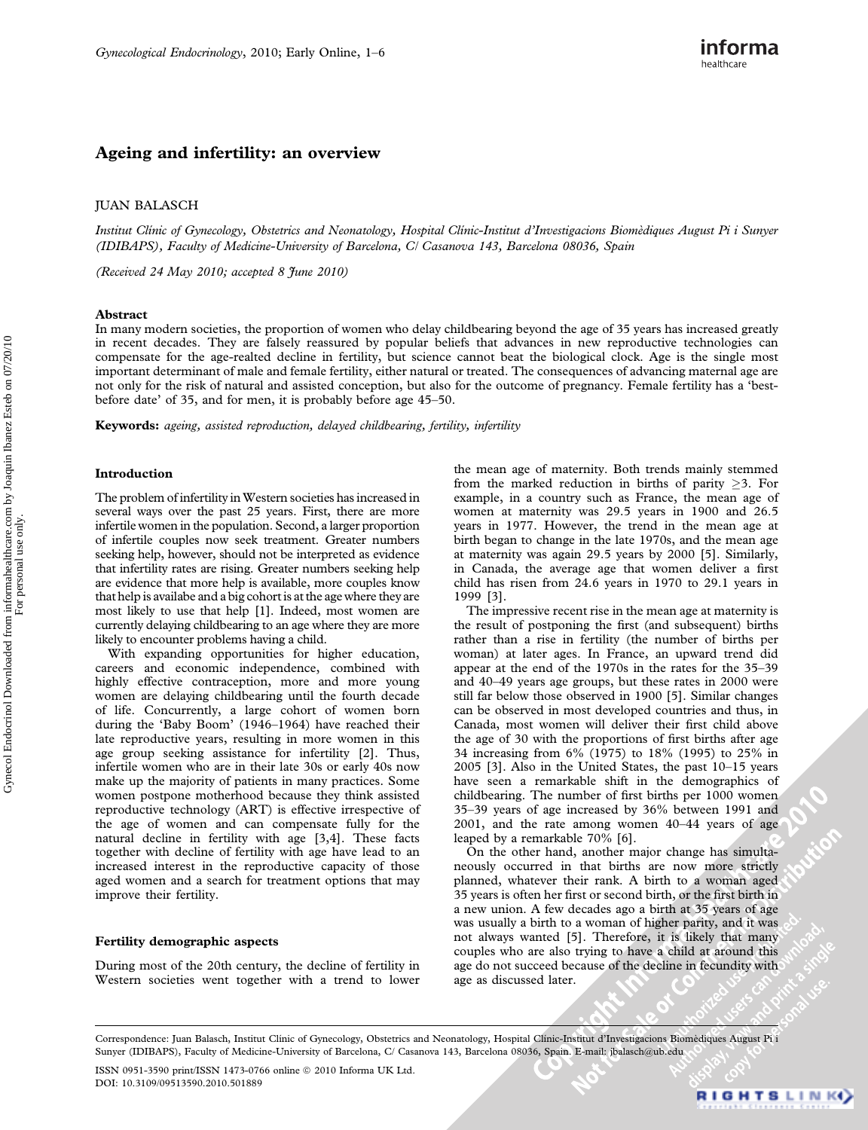# Ageing and infertility: an overview

## JUAN BALASCH

Institut Clínic of Gynecology, Obstetrics and Neonatology, Hospital Clínic-Institut d'Investigacions Biomèdiques August Pi i Sunyer (IDIBAPS), Faculty of Medicine-University of Barcelona, C/ Casanova 143, Barcelona 08036, Spain

(Received 24 May 2010; accepted 8 June 2010)

#### Abstract

In many modern societies, the proportion of women who delay childbearing beyond the age of 35 years has increased greatly in recent decades. They are falsely reassured by popular beliefs that advances in new reproductive technologies can compensate for the age-realted decline in fertility, but science cannot beat the biological clock. Age is the single most important determinant of male and female fertility, either natural or treated. The consequences of advancing maternal age are not only for the risk of natural and assisted conception, but also for the outcome of pregnancy. Female fertility has a 'bestbefore date' of 35, and for men, it is probably before age 45–50.

Keywords: ageing, assisted reproduction, delayed childbearing, fertility, infertility

#### Introduction

The problem of infertility in Western societies has increased in several ways over the past 25 years. First, there are more infertile women in the population. Second, a larger proportion of infertile couples now seek treatment. Greater numbers seeking help, however, should not be interpreted as evidence that infertility rates are rising. Greater numbers seeking help are evidence that more help is available, more couples know that help is availabe and a big cohort is at the age where they are most likely to use that help [1]. Indeed, most women are currently delaying childbearing to an age where they are more likely to encounter problems having a child.

With expanding opportunities for higher education, careers and economic independence, combined with highly effective contraception, more and more young women are delaying childbearing until the fourth decade of life. Concurrently, a large cohort of women born during the 'Baby Boom' (1946–1964) have reached their late reproductive years, resulting in more women in this age group seeking assistance for infertility [2]. Thus, infertile women who are in their late 30s or early 40s now make up the majority of patients in many practices. Some women postpone motherhood because they think assisted reproductive technology (ART) is effective irrespective of the age of women and can compensate fully for the natural decline in fertility with age [3,4]. These facts together with decline of fertility with age have lead to an increased interest in the reproductive capacity of those aged women and a search for treatment options that may improve their fertility.

## Fertility demographic aspects

During most of the 20th century, the decline of fertility in Western societies went together with a trend to lower the mean age of maternity. Both trends mainly stemmed from the marked reduction in births of parity  $\geq 3$ . For example, in a country such as France, the mean age of women at maternity was 29.5 years in 1900 and 26.5 years in 1977. However, the trend in the mean age at birth began to change in the late 1970s, and the mean age at maternity was again 29.5 years by 2000 [5]. Similarly, in Canada, the average age that women deliver a first child has risen from 24.6 years in 1970 to 29.1 years in 1999 [3].

The impressive recent rise in the mean age at maternity is the result of postponing the first (and subsequent) births rather than a rise in fertility (the number of births per woman) at later ages. In France, an upward trend did appear at the end of the 1970s in the rates for the 35–39 and 40–49 years age groups, but these rates in 2000 were still far below those observed in 1900 [5]. Similar changes can be observed in most developed countries and thus, in Canada, most women will deliver their first child above the age of 30 with the proportions of first births after age 34 increasing from 6% (1975) to 18% (1995) to 25% in 2005 [3]. Also in the United States, the past 10–15 years have seen a remarkable shift in the demographics of childbearing. The number of first births per 1000 women 35–39 years of age increased by 36% between 1991 and 2001, and the rate among women 40–44 years of age leaped by a remarkable 70% [6].

On the other hand, another major change has simultaneously occurred in that births are now more strictly planned, whatever their rank. A birth to a woman aged 35 years is often her first or second birth, or the first birth in a new union. A few decades ago a birth at 35 years of age was usually a birth to a woman of higher parity, and it was not always wanted [5]. Therefore, it is likely that many couples who are also trying to have a child at around this age do not succeed because of the decline in fecundity with age as discussed later.

Correspondence: Juan Balasch, Institut Clínic of Gynecology, Obstetrics and Neonatology, Hospital Clínic-Institut d'Investigacions Biomèdiques August Pi i Sunyer (IDIBAPS), Faculty of Medicine-University of Barcelona, C/ Casanova 143, Barcelona 08036, Spain. E-mail: jbalasch@ub.edu

ISSN 0951-3590 print/ISSN 1473-0766 online @ 2010 Informa UK Ltd. DOI: 10.3109/09513590.2010.501889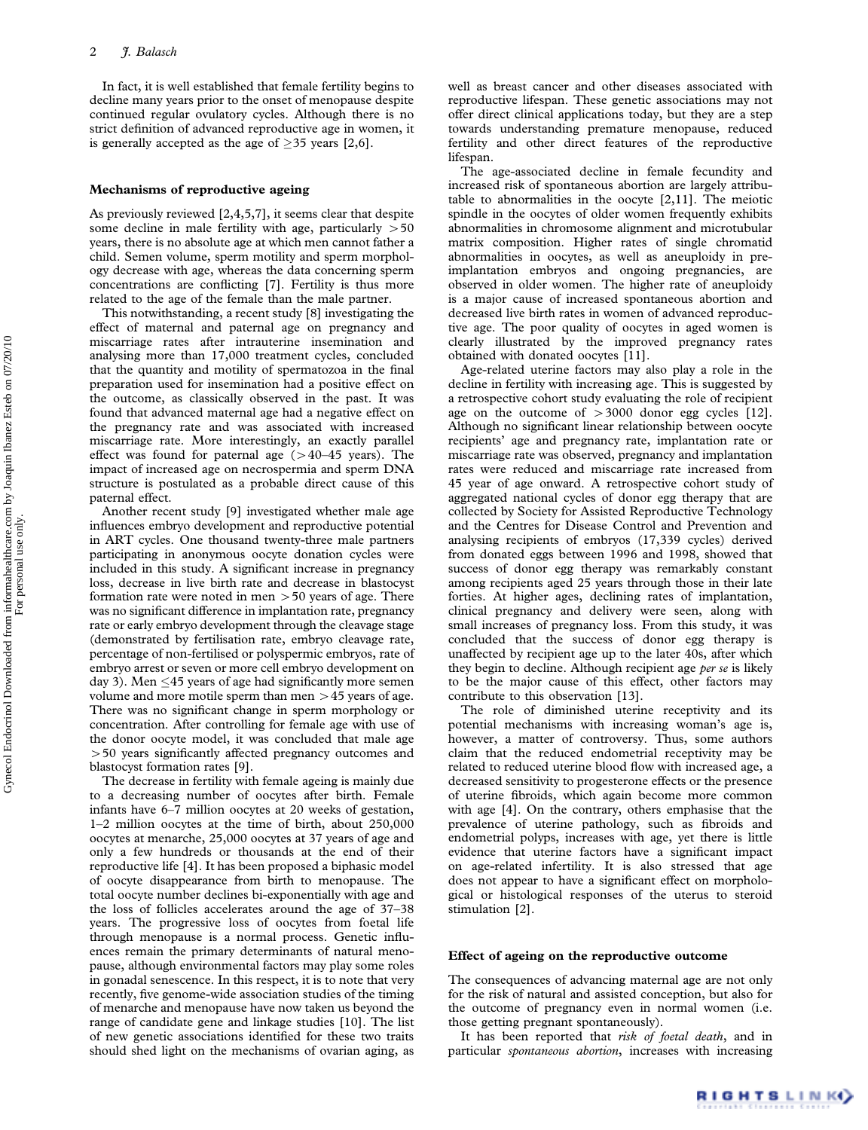In fact, it is well established that female fertility begins to decline many years prior to the onset of menopause despite continued regular ovulatory cycles. Although there is no strict definition of advanced reproductive age in women, it is generally accepted as the age of  $\geq$ 35 years [2,6].

## Mechanisms of reproductive ageing

As previously reviewed [2,4,5,7], it seems clear that despite some decline in male fertility with age, particularly  $>50$ years, there is no absolute age at which men cannot father a child. Semen volume, sperm motility and sperm morphology decrease with age, whereas the data concerning sperm concentrations are conflicting [7]. Fertility is thus more related to the age of the female than the male partner.

This notwithstanding, a recent study [8] investigating the effect of maternal and paternal age on pregnancy and miscarriage rates after intrauterine insemination and analysing more than 17,000 treatment cycles, concluded that the quantity and motility of spermatozoa in the final preparation used for insemination had a positive effect on the outcome, as classically observed in the past. It was found that advanced maternal age had a negative effect on the pregnancy rate and was associated with increased miscarriage rate. More interestingly, an exactly parallel effect was found for paternal age  $(>40-45$  years). The impact of increased age on necrospermia and sperm DNA structure is postulated as a probable direct cause of this paternal effect.

Another recent study [9] investigated whether male age influences embryo development and reproductive potential in ART cycles. One thousand twenty-three male partners participating in anonymous oocyte donation cycles were included in this study. A significant increase in pregnancy loss, decrease in live birth rate and decrease in blastocyst formation rate were noted in men  $>50$  years of age. There was no significant difference in implantation rate, pregnancy rate or early embryo development through the cleavage stage (demonstrated by fertilisation rate, embryo cleavage rate, percentage of non-fertilised or polyspermic embryos, rate of embryo arrest or seven or more cell embryo development on day 3). Men  $\leq$ 45 years of age had significantly more semen volume and more motile sperm than men  $>45$  years of age. There was no significant change in sperm morphology or concentration. After controlling for female age with use of the donor oocyte model, it was concluded that male age 450 years significantly affected pregnancy outcomes and blastocyst formation rates [9].

The decrease in fertility with female ageing is mainly due to a decreasing number of oocytes after birth. Female infants have 6–7 million oocytes at 20 weeks of gestation, 1–2 million oocytes at the time of birth, about 250,000 oocytes at menarche, 25,000 oocytes at 37 years of age and only a few hundreds or thousands at the end of their reproductive life [4]. It has been proposed a biphasic model of oocyte disappearance from birth to menopause. The total oocyte number declines bi-exponentially with age and the loss of follicles accelerates around the age of 37–38 years. The progressive loss of oocytes from foetal life through menopause is a normal process. Genetic influences remain the primary determinants of natural menopause, although environmental factors may play some roles in gonadal senescence. In this respect, it is to note that very recently, five genome-wide association studies of the timing of menarche and menopause have now taken us beyond the range of candidate gene and linkage studies [10]. The list of new genetic associations identified for these two traits should shed light on the mechanisms of ovarian aging, as

well as breast cancer and other diseases associated with reproductive lifespan. These genetic associations may not offer direct clinical applications today, but they are a step towards understanding premature menopause, reduced fertility and other direct features of the reproductive lifespan.

The age-associated decline in female fecundity and increased risk of spontaneous abortion are largely attributable to abnormalities in the oocyte [2,11]. The meiotic spindle in the oocytes of older women frequently exhibits abnormalities in chromosome alignment and microtubular matrix composition. Higher rates of single chromatid abnormalities in oocytes, as well as aneuploidy in preimplantation embryos and ongoing pregnancies, are observed in older women. The higher rate of aneuploidy is a major cause of increased spontaneous abortion and decreased live birth rates in women of advanced reproductive age. The poor quality of oocytes in aged women is clearly illustrated by the improved pregnancy rates obtained with donated oocytes [11].

Age-related uterine factors may also play a role in the decline in fertility with increasing age. This is suggested by a retrospective cohort study evaluating the role of recipient age on the outcome of  $>3000$  donor egg cycles [12]. Although no significant linear relationship between oocyte recipients' age and pregnancy rate, implantation rate or miscarriage rate was observed, pregnancy and implantation rates were reduced and miscarriage rate increased from 45 year of age onward. A retrospective cohort study of aggregated national cycles of donor egg therapy that are collected by Society for Assisted Reproductive Technology and the Centres for Disease Control and Prevention and analysing recipients of embryos (17,339 cycles) derived from donated eggs between 1996 and 1998, showed that success of donor egg therapy was remarkably constant among recipients aged 25 years through those in their late forties. At higher ages, declining rates of implantation, clinical pregnancy and delivery were seen, along with small increases of pregnancy loss. From this study, it was concluded that the success of donor egg therapy is unaffected by recipient age up to the later 40s, after which they begin to decline. Although recipient age *per se* is likely to be the major cause of this effect, other factors may contribute to this observation [13].

The role of diminished uterine receptivity and its potential mechanisms with increasing woman's age is, however, a matter of controversy. Thus, some authors claim that the reduced endometrial receptivity may be related to reduced uterine blood flow with increased age, a decreased sensitivity to progesterone effects or the presence of uterine fibroids, which again become more common with age [4]. On the contrary, others emphasise that the prevalence of uterine pathology, such as fibroids and endometrial polyps, increases with age, yet there is little evidence that uterine factors have a significant impact on age-related infertility. It is also stressed that age does not appear to have a significant effect on morphological or histological responses of the uterus to steroid stimulation [2].

## Effect of ageing on the reproductive outcome

The consequences of advancing maternal age are not only for the risk of natural and assisted conception, but also for the outcome of pregnancy even in normal women (i.e. those getting pregnant spontaneously).

It has been reported that risk of foetal death, and in particular spontaneous abortion, increases with increasing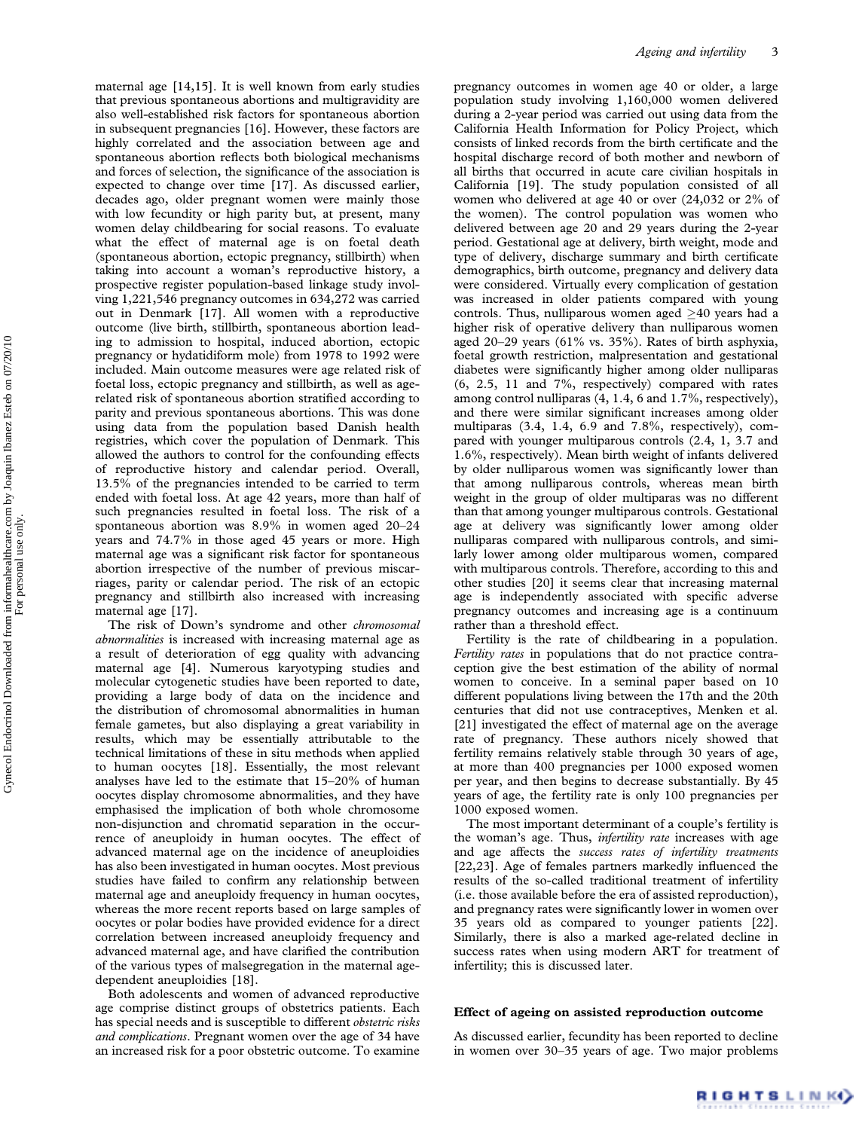maternal age [14,15]. It is well known from early studies that previous spontaneous abortions and multigravidity are also well-established risk factors for spontaneous abortion in subsequent pregnancies [16]. However, these factors are highly correlated and the association between age and spontaneous abortion reflects both biological mechanisms and forces of selection, the significance of the association is expected to change over time [17]. As discussed earlier, decades ago, older pregnant women were mainly those with low fecundity or high parity but, at present, many women delay childbearing for social reasons. To evaluate what the effect of maternal age is on foetal death (spontaneous abortion, ectopic pregnancy, stillbirth) when taking into account a woman's reproductive history, a prospective register population-based linkage study involving 1,221,546 pregnancy outcomes in 634,272 was carried out in Denmark [17]. All women with a reproductive outcome (live birth, stillbirth, spontaneous abortion leading to admission to hospital, induced abortion, ectopic pregnancy or hydatidiform mole) from 1978 to 1992 were included. Main outcome measures were age related risk of foetal loss, ectopic pregnancy and stillbirth, as well as agerelated risk of spontaneous abortion stratified according to parity and previous spontaneous abortions. This was done using data from the population based Danish health registries, which cover the population of Denmark. This allowed the authors to control for the confounding effects of reproductive history and calendar period. Overall, 13.5% of the pregnancies intended to be carried to term ended with foetal loss. At age 42 years, more than half of such pregnancies resulted in foetal loss. The risk of a spontaneous abortion was 8.9% in women aged 20–24 years and 74.7% in those aged 45 years or more. High maternal age was a significant risk factor for spontaneous abortion irrespective of the number of previous miscarriages, parity or calendar period. The risk of an ectopic pregnancy and stillbirth also increased with increasing maternal age [17].

The risk of Down's syndrome and other chromosomal abnormalities is increased with increasing maternal age as a result of deterioration of egg quality with advancing maternal age [4]. Numerous karyotyping studies and molecular cytogenetic studies have been reported to date, providing a large body of data on the incidence and the distribution of chromosomal abnormalities in human female gametes, but also displaying a great variability in results, which may be essentially attributable to the technical limitations of these in situ methods when applied to human oocytes [18]. Essentially, the most relevant analyses have led to the estimate that 15–20% of human oocytes display chromosome abnormalities, and they have emphasised the implication of both whole chromosome non-disjunction and chromatid separation in the occurrence of aneuploidy in human oocytes. The effect of advanced maternal age on the incidence of aneuploidies has also been investigated in human oocytes. Most previous studies have failed to confirm any relationship between maternal age and aneuploidy frequency in human oocytes, whereas the more recent reports based on large samples of oocytes or polar bodies have provided evidence for a direct correlation between increased aneuploidy frequency and advanced maternal age, and have clarified the contribution of the various types of malsegregation in the maternal agedependent aneuploidies [18].

Both adolescents and women of advanced reproductive age comprise distinct groups of obstetrics patients. Each has special needs and is susceptible to different obstetric risks and complications. Pregnant women over the age of 34 have an increased risk for a poor obstetric outcome. To examine

pregnancy outcomes in women age 40 or older, a large population study involving 1,160,000 women delivered during a 2-year period was carried out using data from the California Health Information for Policy Project, which consists of linked records from the birth certificate and the hospital discharge record of both mother and newborn of all births that occurred in acute care civilian hospitals in California [19]. The study population consisted of all women who delivered at age 40 or over (24,032 or 2% of the women). The control population was women who delivered between age 20 and 29 years during the 2-year period. Gestational age at delivery, birth weight, mode and type of delivery, discharge summary and birth certificate demographics, birth outcome, pregnancy and delivery data were considered. Virtually every complication of gestation was increased in older patients compared with young controls. Thus, nulliparous women aged  $\geq$  40 years had a higher risk of operative delivery than nulliparous women aged 20–29 years (61% vs. 35%). Rates of birth asphyxia, foetal growth restriction, malpresentation and gestational diabetes were significantly higher among older nulliparas (6, 2.5, 11 and 7%, respectively) compared with rates among control nulliparas (4, 1.4, 6 and 1.7%, respectively), and there were similar significant increases among older multiparas (3.4, 1.4, 6.9 and 7.8%, respectively), compared with younger multiparous controls (2.4, 1, 3.7 and 1.6%, respectively). Mean birth weight of infants delivered by older nulliparous women was significantly lower than that among nulliparous controls, whereas mean birth weight in the group of older multiparas was no different than that among younger multiparous controls. Gestational age at delivery was significantly lower among older nulliparas compared with nulliparous controls, and similarly lower among older multiparous women, compared with multiparous controls. Therefore, according to this and other studies [20] it seems clear that increasing maternal age is independently associated with specific adverse pregnancy outcomes and increasing age is a continuum rather than a threshold effect.

Fertility is the rate of childbearing in a population. Fertility rates in populations that do not practice contraception give the best estimation of the ability of normal women to conceive. In a seminal paper based on 10 different populations living between the 17th and the 20th centuries that did not use contraceptives, Menken et al. [21] investigated the effect of maternal age on the average rate of pregnancy. These authors nicely showed that fertility remains relatively stable through 30 years of age, at more than 400 pregnancies per 1000 exposed women per year, and then begins to decrease substantially. By 45 years of age, the fertility rate is only 100 pregnancies per 1000 exposed women.

The most important determinant of a couple's fertility is the woman's age. Thus, *infertility rate* increases with age and age affects the success rates of infertility treatments [22,23]. Age of females partners markedly influenced the results of the so-called traditional treatment of infertility (i.e. those available before the era of assisted reproduction), and pregnancy rates were significantly lower in women over 35 years old as compared to younger patients [22]. Similarly, there is also a marked age-related decline in success rates when using modern ART for treatment of infertility; this is discussed later.

#### Effect of ageing on assisted reproduction outcome

As discussed earlier, fecundity has been reported to decline in women over 30–35 years of age. Two major problems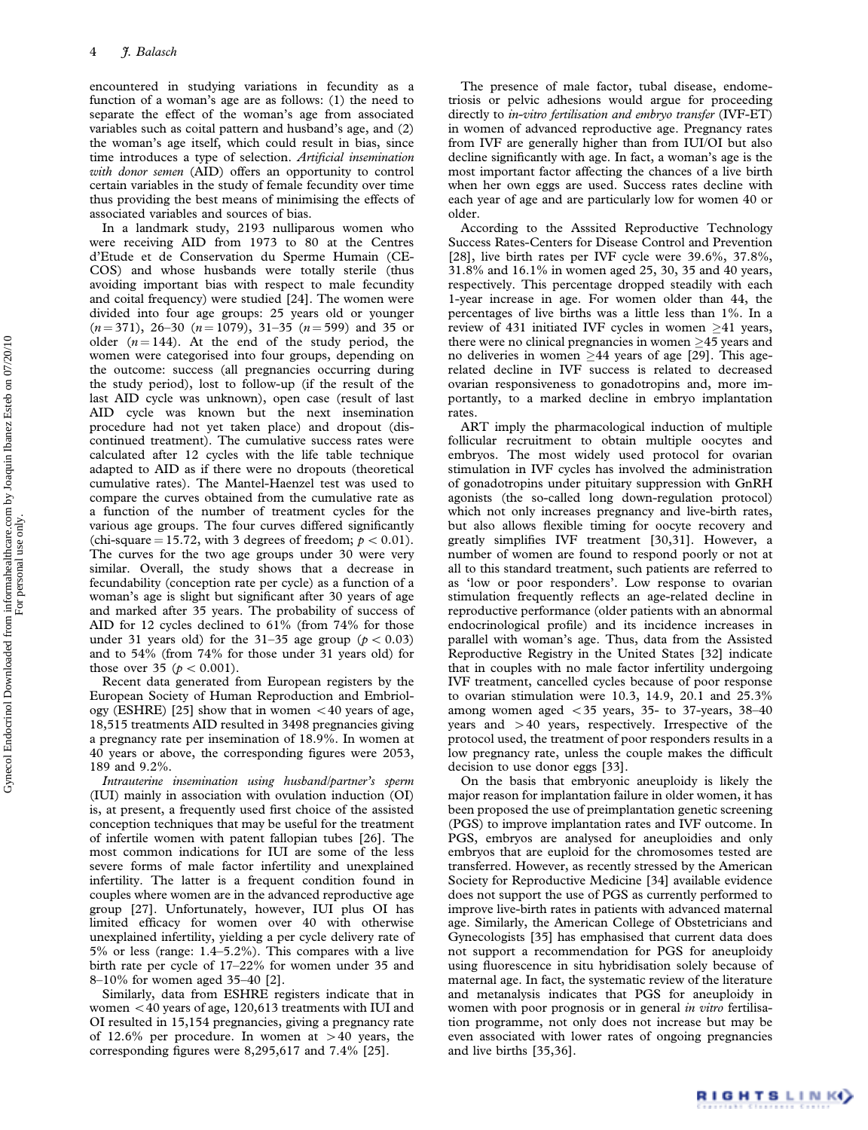encountered in studying variations in fecundity as a function of a woman's age are as follows: (1) the need to separate the effect of the woman's age from associated variables such as coital pattern and husband's age, and (2) the woman's age itself, which could result in bias, since time introduces a type of selection. Artificial insemination with donor semen (AID) offers an opportunity to control certain variables in the study of female fecundity over time thus providing the best means of minimising the effects of associated variables and sources of bias.

In a landmark study, 2193 nulliparous women who were receiving AID from 1973 to 80 at the Centres d'Etude et de Conservation du Sperme Humain (CE-COS) and whose husbands were totally sterile (thus avoiding important bias with respect to male fecundity and coital frequency) were studied [24]. The women were divided into four age groups: 25 years old or younger  $(n = 371)$ , 26–30  $(n = 1079)$ , 31–35  $(n = 599)$  and 35 or older  $(n = 144)$ . At the end of the study period, the women were categorised into four groups, depending on the outcome: success (all pregnancies occurring during the study period), lost to follow-up (if the result of the last AID cycle was unknown), open case (result of last AID cycle was known but the next insemination procedure had not yet taken place) and dropout (discontinued treatment). The cumulative success rates were calculated after 12 cycles with the life table technique adapted to AID as if there were no dropouts (theoretical cumulative rates). The Mantel-Haenzel test was used to compare the curves obtained from the cumulative rate as a function of the number of treatment cycles for the various age groups. The four curves differed significantly (chi-square = 15.72, with 3 degrees of freedom;  $p < 0.01$ ). The curves for the two age groups under 30 were very similar. Overall, the study shows that a decrease in fecundability (conception rate per cycle) as a function of a woman's age is slight but significant after 30 years of age and marked after 35 years. The probability of success of AID for 12 cycles declined to 61% (from 74% for those under 31 years old) for the 31–35 age group ( $p < 0.03$ ) and to 54% (from 74% for those under 31 years old) for those over 35 ( $p < 0.001$ ).

Recent data generated from European registers by the European Society of Human Reproduction and Embriology (ESHRE) [25] show that in women  $<$  40 years of age, 18,515 treatments AID resulted in 3498 pregnancies giving a pregnancy rate per insemination of 18.9%. In women at 40 years or above, the corresponding figures were 2053, 189 and 9.2%.

Intrauterine insemination using husband/partner's sperm (IUI) mainly in association with ovulation induction (OI) is, at present, a frequently used first choice of the assisted conception techniques that may be useful for the treatment of infertile women with patent fallopian tubes [26]. The most common indications for IUI are some of the less severe forms of male factor infertility and unexplained infertility. The latter is a frequent condition found in couples where women are in the advanced reproductive age group [27]. Unfortunately, however, IUI plus OI has limited efficacy for women over 40 with otherwise unexplained infertility, yielding a per cycle delivery rate of 5% or less (range: 1.4–5.2%). This compares with a live birth rate per cycle of 17–22% for women under 35 and 8–10% for women aged 35–40 [2].

Similarly, data from ESHRE registers indicate that in women  $<$  40 years of age, 120,613 treatments with IUI and OI resulted in 15,154 pregnancies, giving a pregnancy rate of 12.6% per procedure. In women at  $>40$  years, the corresponding figures were 8,295,617 and 7.4% [25].

The presence of male factor, tubal disease, endometriosis or pelvic adhesions would argue for proceeding directly to *in-vitro fertilisation and embryo transfer* (IVF-ET) in women of advanced reproductive age. Pregnancy rates from IVF are generally higher than from IUI/OI but also decline significantly with age. In fact, a woman's age is the most important factor affecting the chances of a live birth when her own eggs are used. Success rates decline with each year of age and are particularly low for women 40 or older.

According to the Asssited Reproductive Technology Success Rates-Centers for Disease Control and Prevention [28], live birth rates per IVF cycle were 39.6%, 37.8%, 31.8% and 16.1% in women aged 25, 30, 35 and 40 years, respectively. This percentage dropped steadily with each 1-year increase in age. For women older than 44, the percentages of live births was a little less than 1%. In a review of 431 initiated IVF cycles in women  $\geq 41$  years, there were no clinical pregnancies in women  $\geq$ 45 years and no deliveries in women  $\geq 44$  years of age [29]. This agerelated decline in IVF success is related to decreased ovarian responsiveness to gonadotropins and, more importantly, to a marked decline in embryo implantation rates.

ART imply the pharmacological induction of multiple follicular recruitment to obtain multiple oocytes and embryos. The most widely used protocol for ovarian stimulation in IVF cycles has involved the administration of gonadotropins under pituitary suppression with GnRH agonists (the so-called long down-regulation protocol) which not only increases pregnancy and live-birth rates, but also allows flexible timing for oocyte recovery and greatly simplifies IVF treatment [30,31]. However, a number of women are found to respond poorly or not at all to this standard treatment, such patients are referred to as 'low or poor responders'. Low response to ovarian stimulation frequently reflects an age-related decline in reproductive performance (older patients with an abnormal endocrinological profile) and its incidence increases in parallel with woman's age. Thus, data from the Assisted Reproductive Registry in the United States [32] indicate that in couples with no male factor infertility undergoing IVF treatment, cancelled cycles because of poor response to ovarian stimulation were 10.3, 14.9, 20.1 and 25.3% among women aged  $<$  35 years, 35- to 37-years, 38-40 years and  $>40$  years, respectively. Irrespective of the protocol used, the treatment of poor responders results in a low pregnancy rate, unless the couple makes the difficult decision to use donor eggs [33].

On the basis that embryonic aneuploidy is likely the major reason for implantation failure in older women, it has been proposed the use of preimplantation genetic screening (PGS) to improve implantation rates and IVF outcome. In PGS, embryos are analysed for aneuploidies and only embryos that are euploid for the chromosomes tested are transferred. However, as recently stressed by the American Society for Reproductive Medicine [34] available evidence does not support the use of PGS as currently performed to improve live-birth rates in patients with advanced maternal age. Similarly, the American College of Obstetricians and Gynecologists [35] has emphasised that current data does not support a recommendation for PGS for aneuploidy using fluorescence in situ hybridisation solely because of maternal age. In fact, the systematic review of the literature and metanalysis indicates that PGS for aneuploidy in women with poor prognosis or in general in vitro fertilisation programme, not only does not increase but may be even associated with lower rates of ongoing pregnancies and live births [35,36].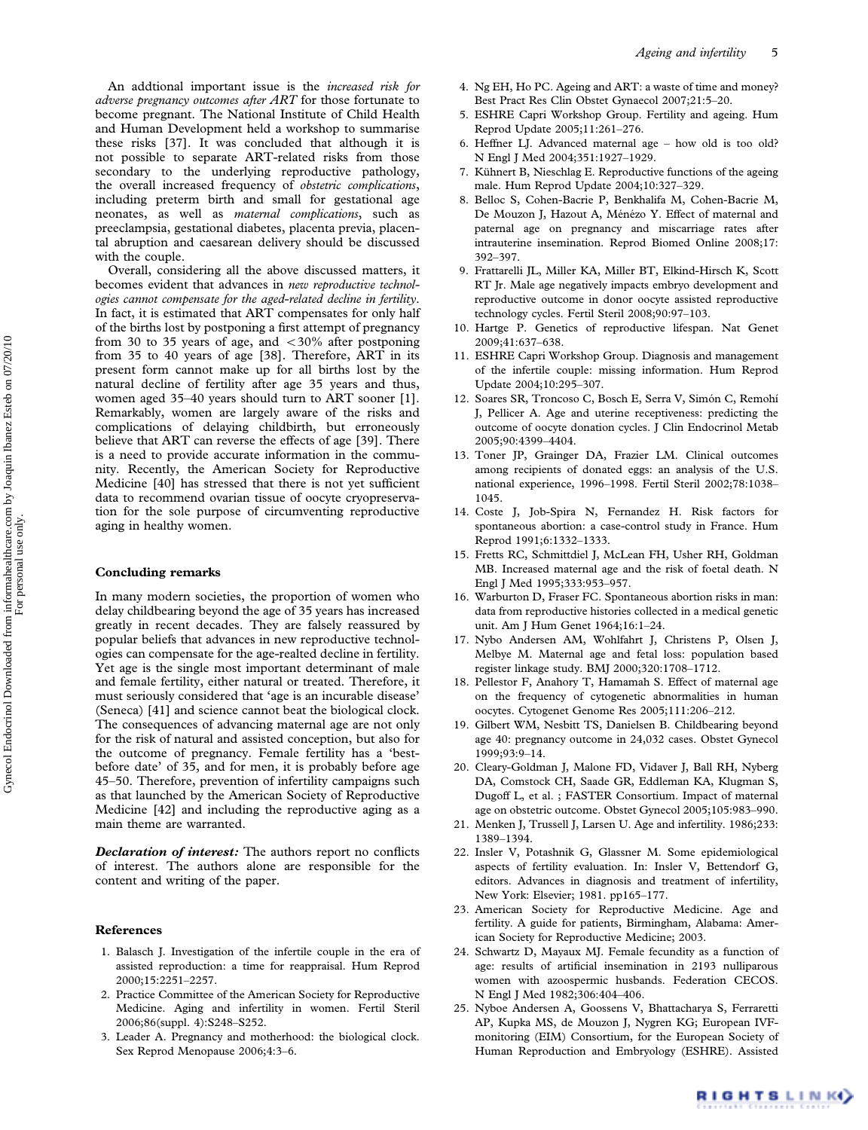An addtional important issue is the increased risk for adverse pregnancy outcomes after ART for those fortunate to become pregnant. The National Institute of Child Health and Human Development held a workshop to summarise these risks [37]. It was concluded that although it is not possible to separate ART-related risks from those secondary to the underlying reproductive pathology, the overall increased frequency of obstetric complications, including preterm birth and small for gestational age neonates, as well as maternal complications, such as preeclampsia, gestational diabetes, placenta previa, placental abruption and caesarean delivery should be discussed with the couple.

Overall, considering all the above discussed matters, it becomes evident that advances in new reproductive technologies cannot compensate for the aged-related decline in fertility. In fact, it is estimated that ART compensates for only half of the births lost by postponing a first attempt of pregnancy from 30 to 35 years of age, and  $<30\%$  after postponing from 35 to 40 years of age [38]. Therefore, ART in its present form cannot make up for all births lost by the natural decline of fertility after age 35 years and thus, women aged 35–40 years should turn to ART sooner [1]. Remarkably, women are largely aware of the risks and complications of delaying childbirth, but erroneously believe that ART can reverse the effects of age [39]. There is a need to provide accurate information in the community. Recently, the American Society for Reproductive Medicine [40] has stressed that there is not yet sufficient data to recommend ovarian tissue of oocyte cryopreservation for the sole purpose of circumventing reproductive aging in healthy women.

## Concluding remarks

In many modern societies, the proportion of women who delay childbearing beyond the age of 35 years has increased greatly in recent decades. They are falsely reassured by popular beliefs that advances in new reproductive technologies can compensate for the age-realted decline in fertility. Yet age is the single most important determinant of male and female fertility, either natural or treated. Therefore, it must seriously considered that 'age is an incurable disease' (Seneca) [41] and science cannot beat the biological clock. The consequences of advancing maternal age are not only for the risk of natural and assisted conception, but also for the outcome of pregnancy. Female fertility has a 'bestbefore date' of 35, and for men, it is probably before age 45–50. Therefore, prevention of infertility campaigns such as that launched by the American Society of Reproductive Medicine [42] and including the reproductive aging as a main theme are warranted.

**Declaration of interest:** The authors report no conflicts of interest. The authors alone are responsible for the content and writing of the paper.

## References

- 1. Balasch J. Investigation of the infertile couple in the era of assisted reproduction: a time for reappraisal. Hum Reprod 2000;15:2251–2257.
- 2. Practice Committee of the American Society for Reproductive Medicine. Aging and infertility in women. Fertil Steril 2006;86(suppl. 4):S248–S252.
- 3. Leader A. Pregnancy and motherhood: the biological clock. Sex Reprod Menopause 2006;4:3–6.
- 4. Ng EH, Ho PC. Ageing and ART: a waste of time and money? Best Pract Res Clin Obstet Gynaecol 2007;21:5–20.
- 5. ESHRE Capri Workshop Group. Fertility and ageing. Hum Reprod Update 2005;11:261–276.
- 6. Heffner LJ. Advanced maternal age how old is too old? N Engl J Med 2004;351:1927–1929.
- 7. Kühnert B, Nieschlag E. Reproductive functions of the ageing male. Hum Reprod Update 2004;10:327–329.
- 8. Belloc S, Cohen-Bacrie P, Benkhalifa M, Cohen-Bacrie M, De Mouzon J, Hazout A, Ménézo Y. Effect of maternal and paternal age on pregnancy and miscarriage rates after intrauterine insemination. Reprod Biomed Online 2008;17: 392–397.
- 9. Frattarelli JL, Miller KA, Miller BT, Elkind-Hirsch K, Scott RT Jr. Male age negatively impacts embryo development and reproductive outcome in donor oocyte assisted reproductive technology cycles. Fertil Steril 2008;90:97–103.
- 10. Hartge P. Genetics of reproductive lifespan. Nat Genet 2009;41:637–638.
- 11. ESHRE Capri Workshop Group. Diagnosis and management of the infertile couple: missing information. Hum Reprod Update 2004;10:295–307.
- 12. Soares SR, Troncoso C, Bosch E, Serra V, Simón C, Remohí J, Pellicer A. Age and uterine receptiveness: predicting the outcome of oocyte donation cycles. J Clin Endocrinol Metab 2005;90:4399–4404.
- 13. Toner JP, Grainger DA, Frazier LM. Clinical outcomes among recipients of donated eggs: an analysis of the U.S. national experience, 1996–1998. Fertil Steril 2002;78:1038– 1045.
- 14. Coste J, Job-Spira N, Fernandez H. Risk factors for spontaneous abortion: a case-control study in France. Hum Reprod 1991;6:1332–1333.
- 15. Fretts RC, Schmittdiel J, McLean FH, Usher RH, Goldman MB. Increased maternal age and the risk of foetal death. N Engl J Med 1995;333:953–957.
- 16. Warburton D, Fraser FC. Spontaneous abortion risks in man: data from reproductive histories collected in a medical genetic unit. Am J Hum Genet 1964;16:1–24.
- 17. Nybo Andersen AM, Wohlfahrt J, Christens P, Olsen J, Melbye M. Maternal age and fetal loss: population based register linkage study. BMJ 2000;320:1708–1712.
- 18. Pellestor F, Anahory T, Hamamah S. Effect of maternal age on the frequency of cytogenetic abnormalities in human oocytes. Cytogenet Genome Res 2005;111:206–212.
- 19. Gilbert WM, Nesbitt TS, Danielsen B. Childbearing beyond age 40: pregnancy outcome in 24,032 cases. Obstet Gynecol 1999;93:9–14.
- 20. Cleary-Goldman J, Malone FD, Vidaver J, Ball RH, Nyberg DA, Comstock CH, Saade GR, Eddleman KA, Klugman S, Dugoff L, et al. ; FASTER Consortium. Impact of maternal age on obstetric outcome. Obstet Gynecol 2005;105:983–990.
- 21. Menken J, Trussell J, Larsen U. Age and infertility. 1986;233: 1389–1394.
- 22. Insler V, Potashnik G, Glassner M. Some epidemiological aspects of fertility evaluation. In: Insler V, Bettendorf G, editors. Advances in diagnosis and treatment of infertility, New York: Elsevier; 1981. pp165–177.
- 23. American Society for Reproductive Medicine. Age and fertility. A guide for patients, Birmingham, Alabama: American Society for Reproductive Medicine; 2003.
- 24. Schwartz D, Mayaux MJ. Female fecundity as a function of age: results of artificial insemination in 2193 nulliparous women with azoospermic husbands. Federation CECOS. N Engl J Med 1982;306:404–406.
- 25. Nyboe Andersen A, Goossens V, Bhattacharya S, Ferraretti AP, Kupka MS, de Mouzon J, Nygren KG; European IVFmonitoring (EIM) Consortium, for the European Society of Human Reproduction and Embryology (ESHRE). Assisted